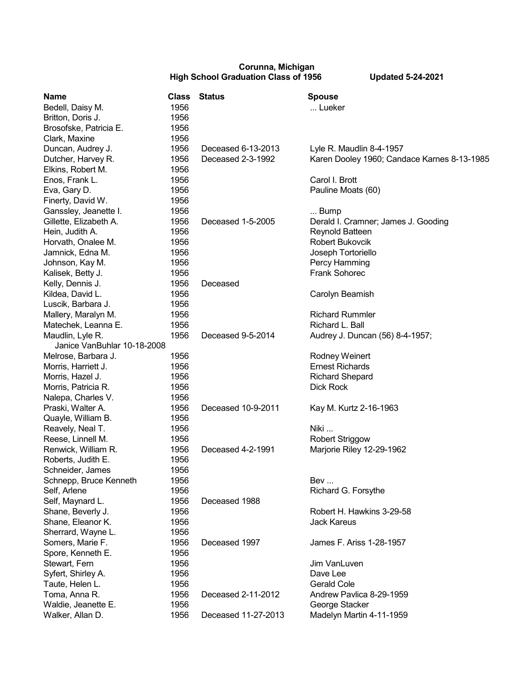## **Corunna, Michigan High School Graduation Class of 1956 Updated 5-24-2021**

| <b>Name</b>                 | <b>Class</b> | <b>Status</b>       | <b>Spouse</b>                               |
|-----------------------------|--------------|---------------------|---------------------------------------------|
| Bedell, Daisy M.            | 1956         |                     | Lueker                                      |
| Britton, Doris J.           | 1956         |                     |                                             |
| Brosofske, Patricia E.      | 1956         |                     |                                             |
| Clark, Maxine               | 1956         |                     |                                             |
| Duncan, Audrey J.           | 1956         | Deceased 6-13-2013  | Lyle R. Maudlin 8-4-1957                    |
| Dutcher, Harvey R.          | 1956         | Deceased 2-3-1992   | Karen Dooley 1960; Candace Karnes 8-13-1985 |
| Elkins, Robert M.           | 1956         |                     |                                             |
| Enos, Frank L.              | 1956         |                     | Carol I. Brott                              |
| Eva, Gary D.                | 1956         |                     | Pauline Moats (60)                          |
| Finerty, David W.           | 1956         |                     |                                             |
| Ganssley, Jeanette I.       | 1956         |                     | Bump                                        |
| Gillette, Elizabeth A.      | 1956         | Deceased 1-5-2005   | Derald I. Cramner; James J. Gooding         |
| Hein, Judith A.             | 1956         |                     | Reynold Batteen                             |
| Horvath, Onalee M.          | 1956         |                     | <b>Robert Bukovcik</b>                      |
| Jamnick, Edna M.            | 1956         |                     | Joseph Tortoriello                          |
| Johnson, Kay M.             | 1956         |                     | Percy Hamming                               |
| Kalisek, Betty J.           | 1956         |                     | Frank Sohorec                               |
| Kelly, Dennis J.            | 1956         | Deceased            |                                             |
| Kildea, David L.            | 1956         |                     | Carolyn Beamish                             |
| Luscik, Barbara J.          | 1956         |                     |                                             |
| Mallery, Maralyn M.         | 1956         |                     | <b>Richard Rummler</b>                      |
| Matechek, Leanna E.         | 1956         |                     | Richard L. Ball                             |
| Maudlin, Lyle R.            | 1956         | Deceased 9-5-2014   | Audrey J. Duncan (56) 8-4-1957;             |
| Janice VanBuhlar 10-18-2008 |              |                     |                                             |
| Melrose, Barbara J.         | 1956         |                     | Rodney Weinert                              |
| Morris, Harriett J.         | 1956         |                     | <b>Ernest Richards</b>                      |
| Morris, Hazel J.            | 1956         |                     | <b>Richard Shepard</b>                      |
| Morris, Patricia R.         | 1956         |                     | Dick Rock                                   |
| Nalepa, Charles V.          | 1956         |                     |                                             |
| Praski, Walter A.           | 1956         | Deceased 10-9-2011  | Kay M. Kurtz 2-16-1963                      |
| Quayle, William B.          | 1956         |                     |                                             |
| Reavely, Neal T.            | 1956         |                     | Niki                                        |
| Reese, Linnell M.           | 1956         |                     | <b>Robert Striggow</b>                      |
| Renwick, William R.         | 1956         | Deceased 4-2-1991   | Marjorie Riley 12-29-1962                   |
| Roberts, Judith E.          | 1956         |                     |                                             |
| Schneider, James            | 1956         |                     |                                             |
| Schnepp, Bruce Kenneth      | 1956         |                     | Bev                                         |
| Self, Arlene                | 1956         |                     | Richard G. Forsythe                         |
| Self, Maynard L.            | 1956         | Deceased 1988       |                                             |
| Shane, Beverly J.           | 1956         |                     | Robert H. Hawkins 3-29-58                   |
| Shane, Eleanor K.           | 1956         |                     | <b>Jack Kareus</b>                          |
| Sherrard, Wayne L.          | 1956         |                     |                                             |
| Somers, Marie F.            | 1956         | Deceased 1997       | James F. Ariss 1-28-1957                    |
| Spore, Kenneth E.           | 1956         |                     |                                             |
| Stewart, Fern               | 1956         |                     | Jim VanLuven                                |
| Syfert, Shirley A.          | 1956         |                     | Dave Lee                                    |
| Taute, Helen L.             | 1956         |                     | <b>Gerald Cole</b>                          |
| Toma, Anna R.               | 1956         | Deceased 2-11-2012  | Andrew Pavlica 8-29-1959                    |
| Waldie, Jeanette E.         | 1956         |                     | George Stacker                              |
| Walker, Allan D.            | 1956         | Deceased 11-27-2013 | Madelyn Martin 4-11-1959                    |